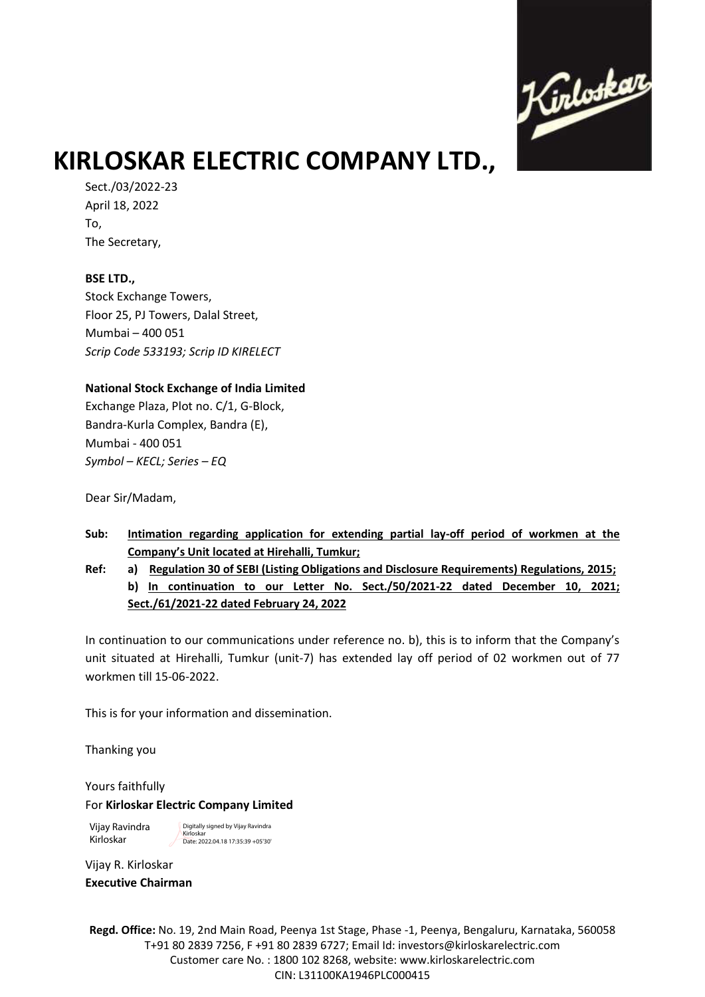

# **KIRLOSKAR ELECTRIC COMPANY LTD.,**

Sect./03/2022-23 April 18, 2022 To, The Secretary,

### **BSE LTD.,**

Stock Exchange Towers, Floor 25, PJ Towers, Dalal Street, Mumbai – 400 051 *Scrip Code 533193; Scrip ID KIRELECT*

## **National Stock Exchange of India Limited**

Exchange Plaza, Plot no. C/1, G-Block, Bandra-Kurla Complex, Bandra (E), Mumbai - 400 051 *Symbol – KECL; Series – EQ*

Dear Sir/Madam,

- **Sub: Intimation regarding application for extending partial lay-off period of workmen at the Company's Unit located at Hirehalli, Tumkur;**
- **Ref: a) Regulation 30 of SEBI (Listing Obligations and Disclosure Requirements) Regulations, 2015; b) In continuation to our Letter No. Sect./50/2021-22 dated December 10, 2021; Sect./61/2021-22 dated February 24, 2022**

In continuation to our communications under reference no. b), this is to inform that the Company's unit situated at Hirehalli, Tumkur (unit-7) has extended lay off period of 02 workmen out of 77 workmen till 15-06-2022.

This is for your information and dissemination.

Thanking you

Yours faithfully For **Kirloskar Electric Company Limited**

Vijay Ravindra Kirloskar

Digitally signed by Vijay Ravindra Kirloskar Date: 2022.04.18 17:35:39 +05'30'

Vijay R. Kirloskar **Executive Chairman** 

**Regd. Office:** No. 19, 2nd Main Road, Peenya 1st Stage, Phase -1, Peenya, Bengaluru, Karnataka, 560058 T+91 80 2839 7256, F +91 80 2839 6727; Email Id: investors@kirloskarelectric.com Customer care No. : 1800 102 8268, website: www.kirloskarelectric.com CIN: L31100KA1946PLC000415